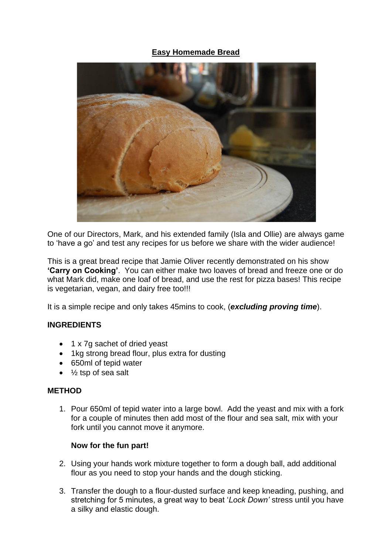# **Easy Homemade Bread**



One of our Directors, Mark, and his extended family (Isla and Ollie) are always game to 'have a go' and test any recipes for us before we share with the wider audience!

This is a great bread recipe that Jamie Oliver recently demonstrated on his show **'Carry on Cooking'**. You can either make two loaves of bread and freeze one or do what Mark did, make one loaf of bread, and use the rest for pizza bases! This recipe is vegetarian, vegan, and dairy free too!!!

It is a simple recipe and only takes 45mins to cook, (*excluding proving time*).

## **INGREDIENTS**

- 1 x 7g sachet of dried yeast
- 1kg strong bread flour, plus extra for dusting
- 650ml of tepid water
- $\bullet$   $\frac{1}{2}$  tsp of sea salt

## **METHOD**

1. Pour 650ml of tepid water into a large bowl. Add the yeast and mix with a fork for a couple of minutes then add most of the flour and sea salt, mix with your fork until you cannot move it anymore.

## **Now for the fun part!**

- 2. Using your hands work mixture together to form a dough ball, add additional flour as you need to stop your hands and the dough sticking.
- 3. Transfer the dough to a flour-dusted surface and keep kneading, pushing, and stretching for 5 minutes, a great way to beat '*Lock Down'* stress until you have a silky and elastic dough.